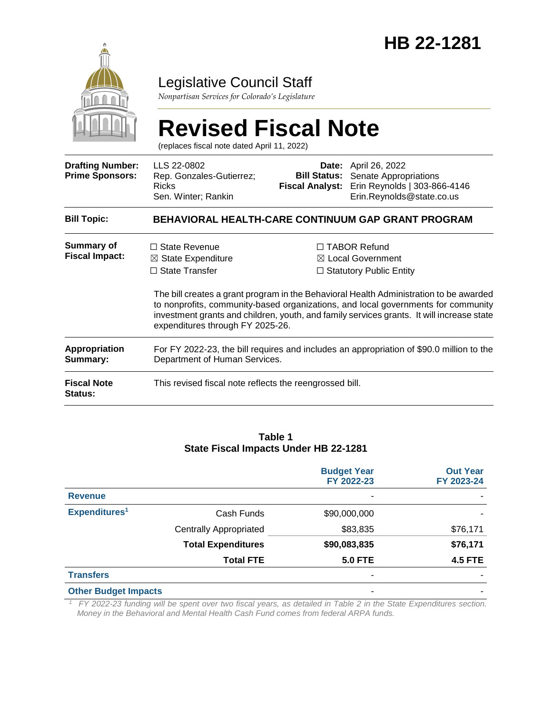

# Legislative Council Staff

*Nonpartisan Services for Colorado's Legislature*

|                                                   | <b>Revised Fiscal Note</b><br>(replaces fiscal note dated April 11, 2022)                                                                                                                                                                                                                                                                                                                                                                                                          |                                                        |                                                                                                      |  |  |  |
|---------------------------------------------------|------------------------------------------------------------------------------------------------------------------------------------------------------------------------------------------------------------------------------------------------------------------------------------------------------------------------------------------------------------------------------------------------------------------------------------------------------------------------------------|--------------------------------------------------------|------------------------------------------------------------------------------------------------------|--|--|--|
| <b>Drafting Number:</b><br><b>Prime Sponsors:</b> | LLS 22-0802<br>Rep. Gonzales-Gutierrez;<br><b>Ricks</b><br>Sen. Winter; Rankin                                                                                                                                                                                                                                                                                                                                                                                                     | Date:<br><b>Bill Status:</b><br><b>Fiscal Analyst:</b> | April 26, 2022<br>Senate Appropriations<br>Erin Reynolds   303-866-4146<br>Erin.Reynolds@state.co.us |  |  |  |
| <b>Bill Topic:</b>                                | <b>BEHAVIORAL HEALTH-CARE CONTINUUM GAP GRANT PROGRAM</b>                                                                                                                                                                                                                                                                                                                                                                                                                          |                                                        |                                                                                                      |  |  |  |
| <b>Summary of</b><br><b>Fiscal Impact:</b>        | $\Box$ State Revenue<br>□ TABOR Refund<br>$\boxtimes$ Local Government<br>$\boxtimes$ State Expenditure<br>$\Box$ State Transfer<br>$\Box$ Statutory Public Entity<br>The bill creates a grant program in the Behavioral Health Administration to be awarded<br>to nonprofits, community-based organizations, and local governments for community<br>investment grants and children, youth, and family services grants. It will increase state<br>expenditures through FY 2025-26. |                                                        |                                                                                                      |  |  |  |
| Appropriation<br>Summary:                         | For FY 2022-23, the bill requires and includes an appropriation of \$90.0 million to the<br>Department of Human Services.                                                                                                                                                                                                                                                                                                                                                          |                                                        |                                                                                                      |  |  |  |
| <b>Fiscal Note</b><br>Status:                     | This revised fiscal note reflects the reengrossed bill.                                                                                                                                                                                                                                                                                                                                                                                                                            |                                                        |                                                                                                      |  |  |  |

#### **Table 1 State Fiscal Impacts Under HB 22-1281**

|                             |                               | <b>Budget Year</b><br>FY 2022-23 | <b>Out Year</b><br>FY 2023-24 |
|-----------------------------|-------------------------------|----------------------------------|-------------------------------|
| <b>Revenue</b>              |                               |                                  |                               |
| Expenditures <sup>1</sup>   | Cash Funds                    | \$90,000,000                     |                               |
|                             | <b>Centrally Appropriated</b> | \$83,835                         | \$76,171                      |
|                             | <b>Total Expenditures</b>     | \$90,083,835                     | \$76,171                      |
|                             | <b>Total FTE</b>              | <b>5.0 FTE</b>                   | <b>4.5 FTE</b>                |
| <b>Transfers</b>            |                               | ۰                                |                               |
| <b>Other Budget Impacts</b> |                               | ۰                                |                               |

*<sup>1</sup> FY 2022-23 funding will be spent over two fiscal years, as detailed in Table 2 in the State Expenditures section. Money in the Behavioral and Mental Health Cash Fund comes from federal ARPA funds.*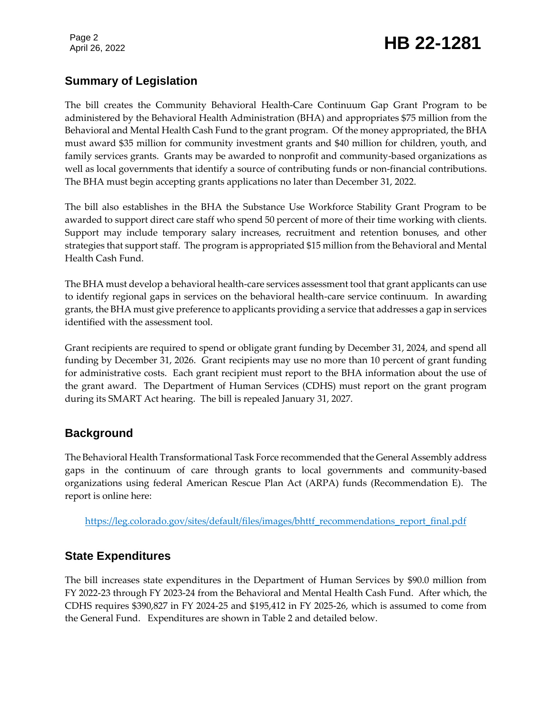# Page 2<br>April 26, 2022 **HB 22-1281**

# **Summary of Legislation**

The bill creates the Community Behavioral Health-Care Continuum Gap Grant Program to be administered by the Behavioral Health Administration (BHA) and appropriates \$75 million from the Behavioral and Mental Health Cash Fund to the grant program. Of the money appropriated, the BHA must award \$35 million for community investment grants and \$40 million for children, youth, and family services grants. Grants may be awarded to nonprofit and community-based organizations as well as local governments that identify a source of contributing funds or non-financial contributions. The BHA must begin accepting grants applications no later than December 31, 2022.

The bill also establishes in the BHA the Substance Use Workforce Stability Grant Program to be awarded to support direct care staff who spend 50 percent of more of their time working with clients. Support may include temporary salary increases, recruitment and retention bonuses, and other strategies that support staff. The program is appropriated \$15 million from the Behavioral and Mental Health Cash Fund.

The BHA must develop a behavioral health-care services assessment tool that grant applicants can use to identify regional gaps in services on the behavioral health-care service continuum. In awarding grants, the BHA must give preference to applicants providing a service that addresses a gap in services identified with the assessment tool.

Grant recipients are required to spend or obligate grant funding by December 31, 2024, and spend all funding by December 31, 2026. Grant recipients may use no more than 10 percent of grant funding for administrative costs. Each grant recipient must report to the BHA information about the use of the grant award. The Department of Human Services (CDHS) must report on the grant program during its SMART Act hearing. The bill is repealed January 31, 2027.

# **Background**

The Behavioral Health Transformational Task Force recommended that the General Assembly address gaps in the continuum of care through grants to local governments and community-based organizations using federal American Rescue Plan Act (ARPA) funds (Recommendation E). The report is online here:

[https://leg.colorado.gov/sites/default/files/images/bhttf\\_recommendations\\_report\\_final.pdf](https://leg.colorado.gov/sites/default/files/images/bhttf_recommendations_report_final.pdf)

# **State Expenditures**

The bill increases state expenditures in the Department of Human Services by \$90.0 million from FY 2022-23 through FY 2023-24 from the Behavioral and Mental Health Cash Fund. After which, the CDHS requires \$390,827 in FY 2024-25 and \$195,412 in FY 2025-26, which is assumed to come from the General Fund. Expenditures are shown in Table 2 and detailed below.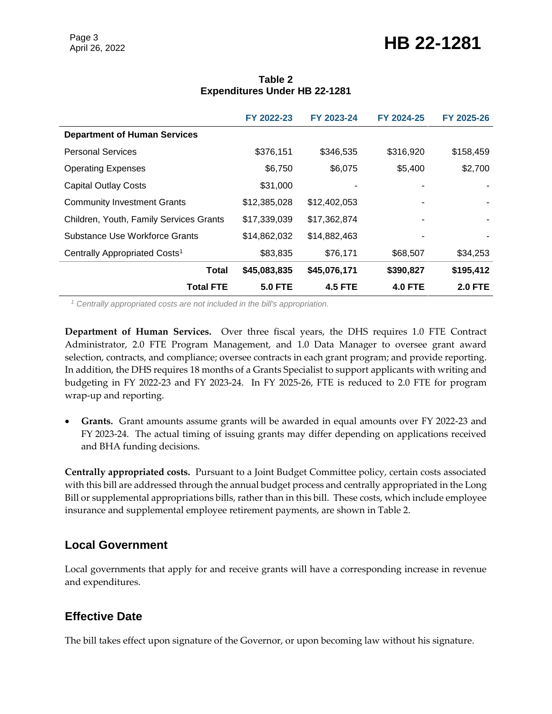# Page 3<br>April 26, 2022 **HB 22-1281**

|                                           | FY 2022-23     | FY 2023-24     | FY 2024-25     | FY 2025-26     |
|-------------------------------------------|----------------|----------------|----------------|----------------|
| <b>Department of Human Services</b>       |                |                |                |                |
| <b>Personal Services</b>                  | \$376,151      | \$346,535      | \$316,920      | \$158,459      |
| <b>Operating Expenses</b>                 | \$6,750        | \$6,075        | \$5,400        | \$2,700        |
| <b>Capital Outlay Costs</b>               | \$31,000       |                |                |                |
| <b>Community Investment Grants</b>        | \$12,385,028   | \$12,402,053   |                |                |
| Children, Youth, Family Services Grants   | \$17,339,039   | \$17,362,874   |                |                |
| Substance Use Workforce Grants            | \$14,862,032   | \$14,882,463   |                |                |
| Centrally Appropriated Costs <sup>1</sup> | \$83,835       | \$76,171       | \$68,507       | \$34,253       |
| <b>Total</b>                              | \$45,083,835   | \$45,076,171   | \$390,827      | \$195,412      |
| <b>Total FTE</b>                          | <b>5.0 FTE</b> | <b>4.5 FTE</b> | <b>4.0 FTE</b> | <b>2.0 FTE</b> |

#### **Table 2 Expenditures Under HB 22-1281**

*<sup>1</sup> Centrally appropriated costs are not included in the bill's appropriation.*

**Department of Human Services.** Over three fiscal years, the DHS requires 1.0 FTE Contract Administrator, 2.0 FTE Program Management, and 1.0 Data Manager to oversee grant award selection, contracts, and compliance; oversee contracts in each grant program; and provide reporting. In addition, the DHS requires 18 months of a Grants Specialist to support applicants with writing and budgeting in FY 2022-23 and FY 2023-24. In FY 2025-26, FTE is reduced to 2.0 FTE for program wrap-up and reporting.

 **Grants.** Grant amounts assume grants will be awarded in equal amounts over FY 2022-23 and FY 2023-24. The actual timing of issuing grants may differ depending on applications received and BHA funding decisions.

**Centrally appropriated costs.** Pursuant to a Joint Budget Committee policy, certain costs associated with this bill are addressed through the annual budget process and centrally appropriated in the Long Bill or supplemental appropriations bills, rather than in this bill. These costs, which include employee insurance and supplemental employee retirement payments, are shown in Table 2.

### **Local Government**

Local governments that apply for and receive grants will have a corresponding increase in revenue and expenditures.

# **Effective Date**

The bill takes effect upon signature of the Governor, or upon becoming law without his signature.